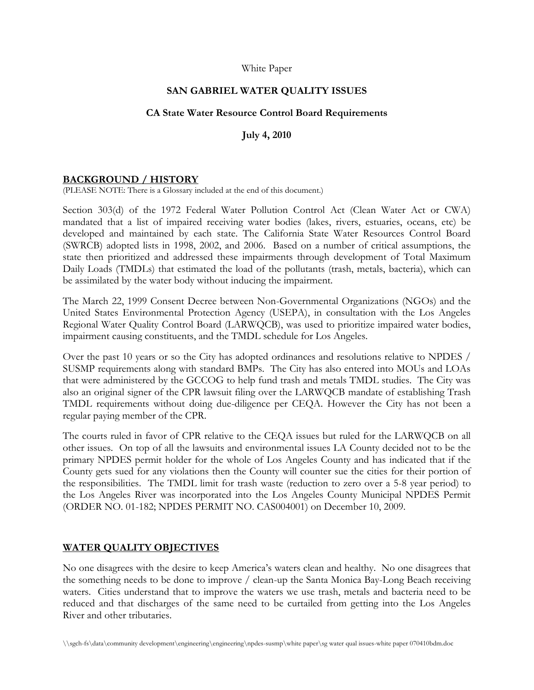#### White Paper

## **SAN GABRIEL WATER QUALITY ISSUES**

#### **CA State Water Resource Control Board Requirements**

**July 4, 2010**

#### **BACKGROUND / HISTORY**

(PLEASE NOTE: There is a Glossary included at the end of this document.)

Section 303(d) of the 1972 Federal Water Pollution Control Act (Clean Water Act or CWA) mandated that a list of impaired receiving water bodies (lakes, rivers, estuaries, oceans, etc) be developed and maintained by each state. The California State Water Resources Control Board (SWRCB) adopted lists in 1998, 2002, and 2006. Based on a number of critical assumptions, the state then prioritized and addressed these impairments through development of Total Maximum Daily Loads (TMDLs) that estimated the load of the pollutants (trash, metals, bacteria), which can be assimilated by the water body without inducing the impairment.

The March 22, 1999 Consent Decree between Non-Governmental Organizations (NGOs) and the United States Environmental Protection Agency (USEPA), in consultation with the Los Angeles Regional Water Quality Control Board (LARWQCB), was used to prioritize impaired water bodies, impairment causing constituents, and the TMDL schedule for Los Angeles.

Over the past 10 years or so the City has adopted ordinances and resolutions relative to NPDES / SUSMP requirements along with standard BMPs. The City has also entered into MOUs and LOAs that were administered by the GCCOG to help fund trash and metals TMDL studies. The City was also an original signer of the CPR lawsuit filing over the LARWQCB mandate of establishing Trash TMDL requirements without doing due-diligence per CEQA. However the City has not been a regular paying member of the CPR.

The courts ruled in favor of CPR relative to the CEQA issues but ruled for the LARWQCB on all other issues. On top of all the lawsuits and environmental issues LA County decided not to be the primary NPDES permit holder for the whole of Los Angeles County and has indicated that if the County gets sued for any violations then the County will counter sue the cities for their portion of the responsibilities. The TMDL limit for trash waste (reduction to zero over a 5-8 year period) to the Los Angeles River was incorporated into the Los Angeles County Municipal NPDES Permit (ORDER NO. 01-182; NPDES PERMIT NO. CAS004001) on December 10, 2009.

#### **WATER QUALITY OBJECTIVES**

No one disagrees with the desire to keep America's waters clean and healthy. No one disagrees that the something needs to be done to improve / clean-up the Santa Monica Bay-Long Beach receiving waters. Cities understand that to improve the waters we use trash, metals and bacteria need to be reduced and that discharges of the same need to be curtailed from getting into the Los Angeles River and other tributaries.

<sup>\\</sup>sgch-fs\data\community development\engineering\engineering\npdes-susmp\white paper\sg water qual issues-white paper 070410bdm.doc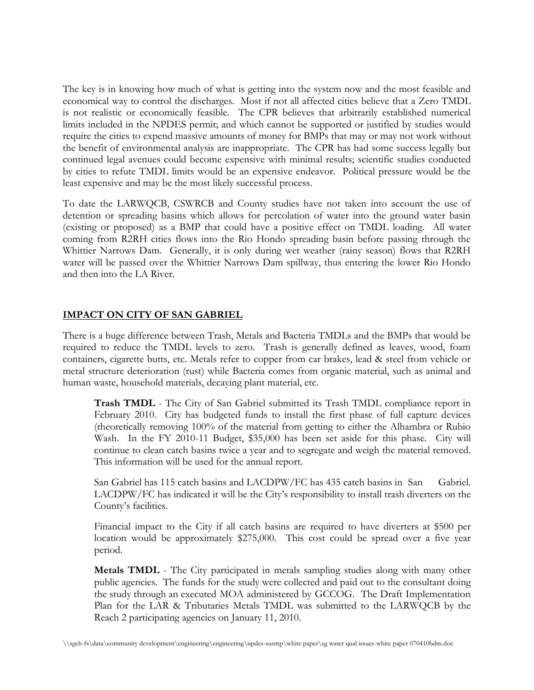The key is in knowing how much of what is getting into the system now and the most feasible and economical way to control the discharges. Most if not all affected cities believe that a Zero TMDL is not realistic or economically feasible. The CPR believes that arbitrarily established numerical limits included in the NPDES permit; and which cannot be supported or justified by studies would require the cities to expend massive amounts of money for BMPs that may or may not work without the benefit of environmental analysis are inappropriate. The CPR has had some success legally but continued legal avenues could become expensive with minimal results; scientific studies conducted by cities to refute TMDL limits would be an expensive endeavor. Political pressure would be the least expensive and may be the most likely successful process.

To date the LARWQCB, CSWRCB and County studies have not taken into account the use of detention or spreading basins which allows for percolation of water into the ground water basin (existing or proposed) as a BMP that could have a positive effect on TMDL loading. All water coming from R2RH cities flows into the Rio Hondo spreading basin before passing through the Whittier Narrows Dam. Generally, it is only during wet weather (rainy season) flows that R2RH water will be passed over the Whittier Narrows Dam spillway, thus entering the lower Rio Hondo and then into the LA River.

# **IMPACT ON CITY OF SAN GABRIEL**

There is a huge difference between Trash, Metals and Bacteria TMDLs and the BMPs that would be required to reduce the TMDL levels to zero. Trash is generally defined as leaves, wood, foam containers, cigarette butts, etc. Metals refer to copper from car brakes, lead & steel from vehicle or metal structure deterioration (rust) while Bacteria comes from organic material, such as animal and human waste, household materials, decaying plant material, etc.

**Trash TMDL** - The City of San Gabriel submitted its Trash TMDL compliance report in February 2010. City has budgeted funds to install the first phase of full capture devices (theoretically removing 100% of the material from getting to either the Alhambra or Rubio Wash. In the FY 2010-11 Budget, \$35,000 has been set aside for this phase. City will continue to clean catch basins twice a year and to segregate and weigh the material removed. This information will be used for the annual report.

San Gabriel has 115 catch basins and LACDPW/FC has 435 catch basins in San Gabriel. LACDPW/FC has indicated it will be the City's responsibility to install trash diverters on the County's facilities.

Financial impact to the City if all catch basins are required to have diverters at \$500 per location would be approximately \$275,000. This cost could be spread over a five year period.

**Metals TMDL** - The City participated in metals sampling studies along with many other public agencies. The funds for the study were collected and paid out to the consultant doing the study through an executed MOA administered by GCCOG. The Draft Implementation Plan for the LAR & Tributaries Metals TMDL was submitted to the LARWQCB by the Reach 2 participating agencies on January 11, 2010.

<sup>\\</sup>sgch-fs\data\community development\engineering\engineering\npdes-susmp\white paper\sg water qual issues-white paper 070410bdm.doc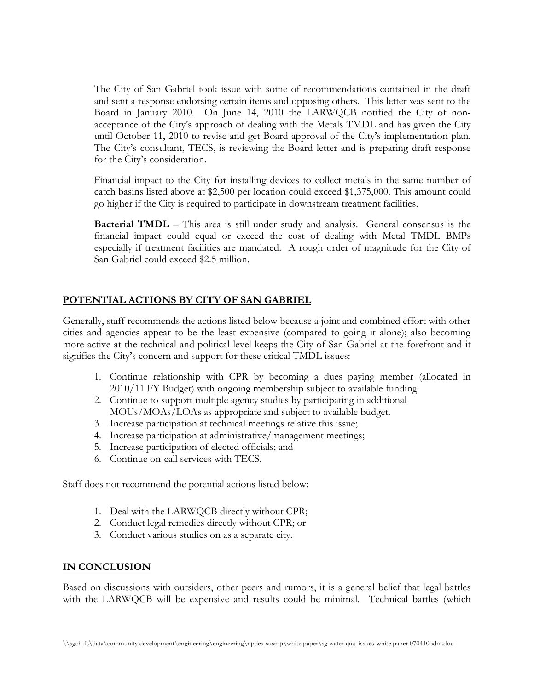The City of San Gabriel took issue with some of recommendations contained in the draft and sent a response endorsing certain items and opposing others. This letter was sent to the Board in January 2010. On June 14, 2010 the LARWQCB notified the City of nonacceptance of the City's approach of dealing with the Metals TMDL and has given the City until October 11, 2010 to revise and get Board approval of the City's implementation plan. The City's consultant, TECS, is reviewing the Board letter and is preparing draft response for the City's consideration.

Financial impact to the City for installing devices to collect metals in the same number of catch basins listed above at \$2,500 per location could exceed \$1,375,000. This amount could go higher if the City is required to participate in downstream treatment facilities.

**Bacterial TMDL** – This area is still under study and analysis. General consensus is the financial impact could equal or exceed the cost of dealing with Metal TMDL BMPs especially if treatment facilities are mandated. A rough order of magnitude for the City of San Gabriel could exceed \$2.5 million.

# **POTENTIAL ACTIONS BY CITY OF SAN GABRIEL**

Generally, staff recommends the actions listed below because a joint and combined effort with other cities and agencies appear to be the least expensive (compared to going it alone); also becoming more active at the technical and political level keeps the City of San Gabriel at the forefront and it signifies the City's concern and support for these critical TMDL issues:

- 1. Continue relationship with CPR by becoming a dues paying member (allocated in 2010/11 FY Budget) with ongoing membership subject to available funding.
- 2. Continue to support multiple agency studies by participating in additional MOUs/MOAs/LOAs as appropriate and subject to available budget.
- 3. Increase participation at technical meetings relative this issue;
- 4. Increase participation at administrative/management meetings;
- 5. Increase participation of elected officials; and
- 6. Continue on-call services with TECS.

Staff does not recommend the potential actions listed below:

- 1. Deal with the LARWQCB directly without CPR;
- 2. Conduct legal remedies directly without CPR; or
- 3. Conduct various studies on as a separate city.

## **IN CONCLUSION**

Based on discussions with outsiders, other peers and rumors, it is a general belief that legal battles with the LARWQCB will be expensive and results could be minimal. Technical battles (which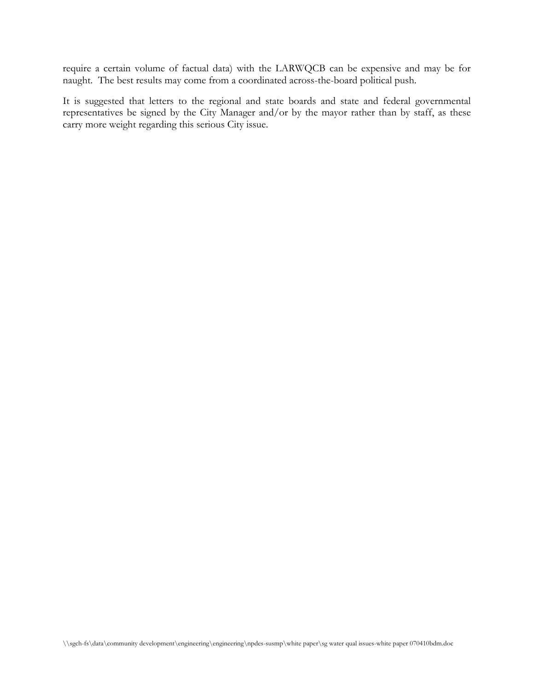require a certain volume of factual data) with the LARWQCB can be expensive and may be for naught. The best results may come from a coordinated across-the-board political push.

It is suggested that letters to the regional and state boards and state and federal governmental representatives be signed by the City Manager and/or by the mayor rather than by staff, as these carry more weight regarding this serious City issue.

\\sgch-fs\data\community development\engineering\engineering\npdes-susmp\white paper\sg water qual issues-white paper 070410bdm.doc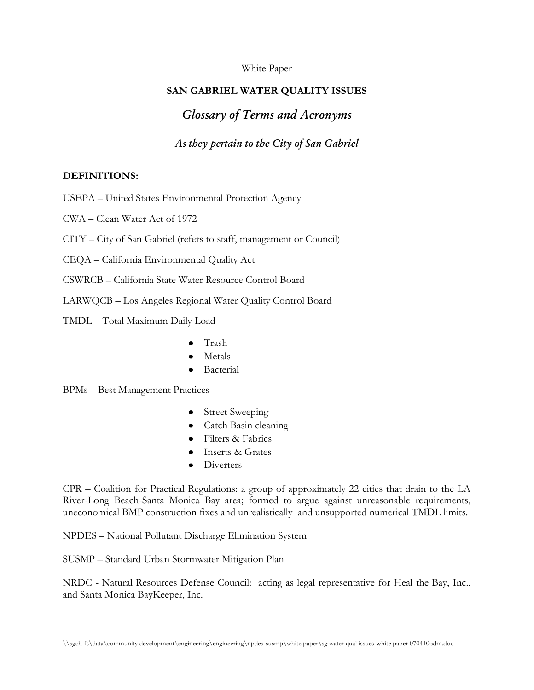### White Paper

# **SAN GABRIEL WATER QUALITY ISSUES**

# *Glossary of Terms and Acronyms*

# *As they pertain to the City of San Gabriel*

#### **DEFINITIONS:**

USEPA – United States Environmental Protection Agency

CWA – Clean Water Act of 1972

## CITY – City of San Gabriel (refers to staff, management or Council)

- CEQA California Environmental Quality Act
- CSWRCB California State Water Resource Control Board

LARWQCB – Los Angeles Regional Water Quality Control Board

- TMDL Total Maximum Daily Load
	- Trash
	- Metals
	- Bacterial

BPMs – Best Management Practices

- Street Sweeping
- Catch Basin cleaning
- Filters & Fabrics
- Inserts & Grates
- **Diverters**

CPR – Coalition for Practical Regulations: a group of approximately 22 cities that drain to the LA River-Long Beach-Santa Monica Bay area; formed to argue against unreasonable requirements, uneconomical BMP construction fixes and unrealistically and unsupported numerical TMDL limits.

NPDES – National Pollutant Discharge Elimination System

SUSMP – Standard Urban Stormwater Mitigation Plan

NRDC - Natural Resources Defense Council: acting as legal representative for Heal the Bay, Inc., and Santa Monica BayKeeper, Inc.